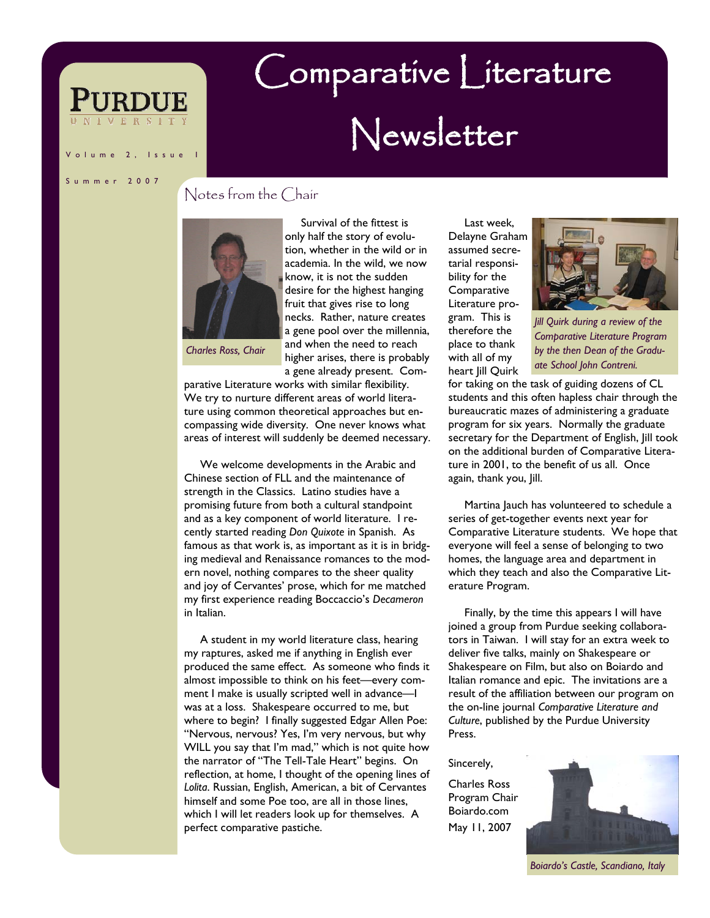lume 2, Issue

# Comparative Literature Newsletter

Summer 2007

### Notes from the Chair



 Survival of the fittest is only half the story of evolution, whether in the wild or in academia. In the wild, we now know, it is not the sudden desire for the highest hanging fruit that gives rise to long necks. Rather, nature creates a gene pool over the millennia, and when the need to reach higher arises, there is probably a gene already present. Com-

*Charles Ross, Chair* 

parative Literature works with similar flexibility. We try to nurture different areas of world literature using common theoretical approaches but encompassing wide diversity. One never knows what areas of interest will suddenly be deemed necessary.

 We welcome developments in the Arabic and Chinese section of FLL and the maintenance of strength in the Classics. Latino studies have a promising future from both a cultural standpoint and as a key component of world literature. I recently started reading *Don Quixote* in Spanish. As famous as that work is, as important as it is in bridging medieval and Renaissance romances to the modern novel, nothing compares to the sheer quality and joy of Cervantes' prose, which for me matched my first experience reading Boccaccio's *Decameron*  in Italian.

 A student in my world literature class, hearing my raptures, asked me if anything in English ever produced the same effect. As someone who finds it almost impossible to think on his feet—every comment I make is usually scripted well in advance—I was at a loss. Shakespeare occurred to me, but where to begin? I finally suggested Edgar Allen Poe: "Nervous, nervous? Yes, I'm very nervous, but why WILL you say that I'm mad," which is not quite how the narrator of "The Tell-Tale Heart" begins. On reflection, at home, I thought of the opening lines of *Lolita*. Russian, English, American, a bit of Cervantes himself and some Poe too, are all in those lines, which I will let readers look up for themselves. A perfect comparative pastiche.

 Last week, Delayne Graham assumed secretarial responsibility for the **Comparative** Literature program. This is therefore the place to thank with all of my heart *Jill* Quirk



*Jill Quirk during a review of the Comparative Literature Program by the then Dean of the Graduate School John Contreni.* 

for taking on the task of guiding dozens of CL students and this often hapless chair through the bureaucratic mazes of administering a graduate program for six years. Normally the graduate secretary for the Department of English, Jill took on the additional burden of Comparative Literature in 2001, to the benefit of us all. Once again, thank you, Jill.

 Martina Jauch has volunteered to schedule a series of get-together events next year for Comparative Literature students. We hope that everyone will feel a sense of belonging to two homes, the language area and department in which they teach and also the Comparative Literature Program.

 Finally, by the time this appears I will have joined a group from Purdue seeking collaborators in Taiwan. I will stay for an extra week to deliver five talks, mainly on Shakespeare or Shakespeare on Film, but also on Boiardo and Italian romance and epic. The invitations are a result of the affiliation between our program on the on-line journal *Comparative Literature and Culture*, published by the Purdue University Press.

#### Sincerely,

Charles Ross Program Chair Boiardo.com May 11, 2007



*Boiardo's Castle, Scandiano, Italy*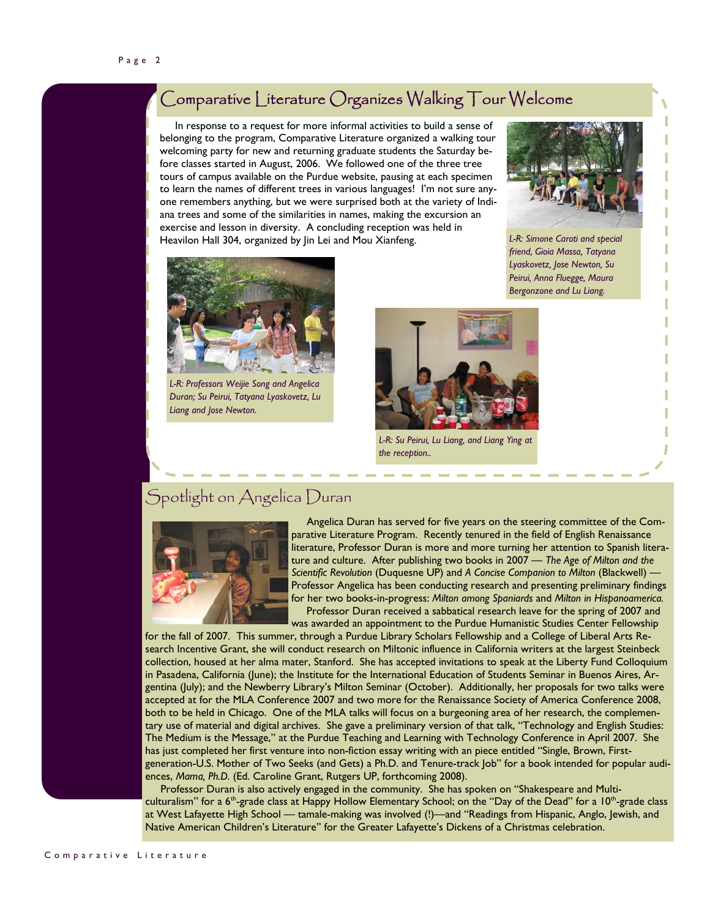## Comparative Literature Organizes Walking Tour Welcome

 In response to a request for more informal activities to build a sense of belonging to the program, Comparative Literature organized a walking tour welcoming party for new and returning graduate students the Saturday before classes started in August, 2006. We followed one of the three tree tours of campus available on the Purdue website, pausing at each specimen to learn the names of different trees in various languages! I'm not sure anyone remembers anything, but we were surprised both at the variety of Indiana trees and some of the similarities in names, making the excursion an exercise and lesson in diversity. A concluding reception was held in Heavilon Hall 304, organized by Jin Lei and Mou Xianfeng. *L-R: Simone Caroti and special* 



*friend, Gioia Massa, Tatyana Lyaskovetz, Jose Newton, Su Peirui, Anna Fluegge, Maura Bergonzone and Lu Liang.* 



*L-R: Professors Weijie Song and Angelica Duran; Su Peirui, Tatyana Lyaskovetz, Lu Liang and Jose Newton.* 



*L-R: Su Peirui, Lu Liang, and Liang Ying at the reception..* 

## Spotlight on Angelica Duran



 Angelica Duran has served for five years on the steering committee of the Comparative Literature Program. Recently tenured in the field of English Renaissance literature, Professor Duran is more and more turning her attention to Spanish literature and culture. After publishing two books in 2007 — *The Age of Milton and the Scientific Revolution* (Duquesne UP) and *A Concise Companion to Milton* (Blackwell) — Professor Angelica has been conducting research and presenting preliminary findings for her two books-in-progress: *Milton among Spaniards* and *Milton in Hispanoamerica.* Professor Duran received a sabbatical research leave for the spring of 2007 and

was awarded an appointment to the Purdue Humanistic Studies Center Fellowship

for the fall of 2007. This summer, through a Purdue Library Scholars Fellowship and a College of Liberal Arts Research Incentive Grant, she will conduct research on Miltonic influence in California writers at the largest Steinbeck collection, housed at her alma mater, Stanford. She has accepted invitations to speak at the Liberty Fund Colloquium in Pasadena, California (June); the Institute for the International Education of Students Seminar in Buenos Aires, Argentina (July); and the Newberry Library's Milton Seminar (October). Additionally, her proposals for two talks were accepted at for the MLA Conference 2007 and two more for the Renaissance Society of America Conference 2008, both to be held in Chicago. One of the MLA talks will focus on a burgeoning area of her research, the complementary use of material and digital archives. She gave a preliminary version of that talk, "Technology and English Studies: The Medium is the Message," at the Purdue Teaching and Learning with Technology Conference in April 2007. She has just completed her first venture into non-fiction essay writing with an piece entitled "Single, Brown, Firstgeneration-U.S. Mother of Two Seeks (and Gets) a Ph.D. and Tenure-track Job" for a book intended for popular audiences, *Mama, Ph.D.* (Ed. Caroline Grant, Rutgers UP, forthcoming 2008).

 Professor Duran is also actively engaged in the community. She has spoken on "Shakespeare and Multiculturalism" for a 6<sup>th</sup>-grade class at Happy Hollow Elementary School; on the "Day of the Dead" for a 10<sup>th</sup>-grade class at West Lafayette High School — tamale-making was involved (!)—and "Readings from Hispanic, Anglo, Jewish, and Native American Children's Literature" for the Greater Lafayette's Dickens of a Christmas celebration.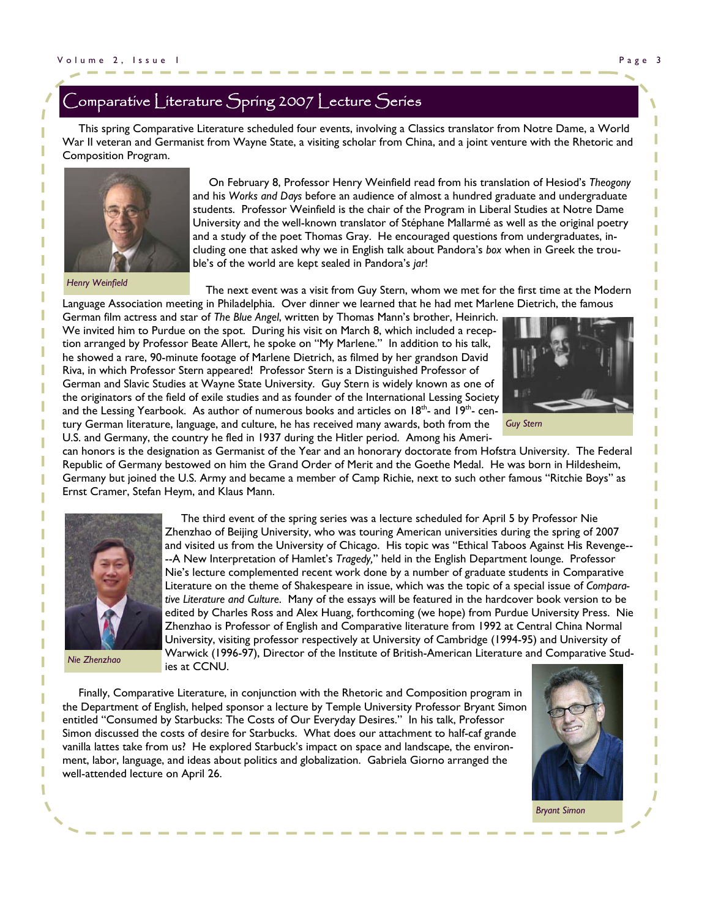## <code>[omparative</code> <code>Literature</code> <code>Spring 2007</code> <code>Lecture</code> Series

 This spring Comparative Literature scheduled four events, involving a Classics translator from Notre Dame, a World War II veteran and Germanist from Wayne State, a visiting scholar from China, and a joint venture with the Rhetoric and Composition Program.



*Henry Weinfield* 

 On February 8, Professor Henry Weinfield read from his translation of Hesiod's *Theogony* and his *Works and Days* before an audience of almost a hundred graduate and undergraduate students. Professor Weinfield is the chair of the Program in Liberal Studies at Notre Dame University and the well-known translator of Stéphane Mallarmé as well as the original poetry and a study of the poet Thomas Gray. He encouraged questions from undergraduates, including one that asked why we in English talk about Pandora's *box* when in Greek the trouble's of the world are kept sealed in Pandora's *jar*!

 The next event was a visit from Guy Stern, whom we met for the first time at the Modern Language Association meeting in Philadelphia. Over dinner we learned that he had met Marlene Dietrich, the famous

German film actress and star of *The Blue Angel*, written by Thomas Mann's brother, Heinrich. We invited him to Purdue on the spot. During his visit on March 8, which included a reception arranged by Professor Beate Allert, he spoke on "My Marlene." In addition to his talk, he showed a rare, 90-minute footage of Marlene Dietrich, as filmed by her grandson David Riva, in which Professor Stern appeared! Professor Stern is a Distinguished Professor of German and Slavic Studies at Wayne State University. Guy Stern is widely known as one of the originators of the field of exile studies and as founder of the International Lessing Society and the Lessing Yearbook. As author of numerous books and articles on  $18<sup>th</sup>$ - and  $19<sup>th</sup>$ - century German literature, language, and culture, he has received many awards, both from the U.S. and Germany, the country he fled in 1937 during the Hitler period. Among his Ameri-



*Guy Stern* 

can honors is the designation as Germanist of the Year and an honorary doctorate from Hofstra University. The Federal Republic of Germany bestowed on him the Grand Order of Merit and the Goethe Medal. He was born in Hildesheim, Germany but joined the U.S. Army and became a member of Camp Richie, next to such other famous "Ritchie Boys" as Ernst Cramer, Stefan Heym, and Klaus Mann.



 The third event of the spring series was a lecture scheduled for April 5 by Professor Nie Zhenzhao of Beijing University, who was touring American universities during the spring of 2007 and visited us from the University of Chicago. His topic was "Ethical Taboos Against His Revenge-- --A New Interpretation of Hamlet's *Tragedy,*" held in the English Department lounge. Professor Nie's lecture complemented recent work done by a number of graduate students in Comparative Literature on the theme of Shakespeare in issue, which was the topic of a special issue of *Comparative Literature and Culture*. Many of the essays will be featured in the hardcover book version to be edited by Charles Ross and Alex Huang, forthcoming (we hope) from Purdue University Press. Nie Zhenzhao is Professor of English and Comparative literature from 1992 at Central China Normal University, visiting professor respectively at University of Cambridge (1994-95) and University of Warwick (1996-97), Director of the Institute of British-American Literature and Comparative Studies at CCNU.

*Nie Zhenzhao* 

 Finally, Comparative Literature, in conjunction with the Rhetoric and Composition program in the Department of English, helped sponsor a lecture by Temple University Professor Bryant Simon entitled "Consumed by Starbucks: The Costs of Our Everyday Desires." In his talk, Professor Simon discussed the costs of desire for Starbucks. What does our attachment to half-caf grande vanilla lattes take from us? He explored Starbuck's impact on space and landscape, the environment, labor, language, and ideas about politics and globalization. Gabriela Giorno arranged the well-attended lecture on April 26.

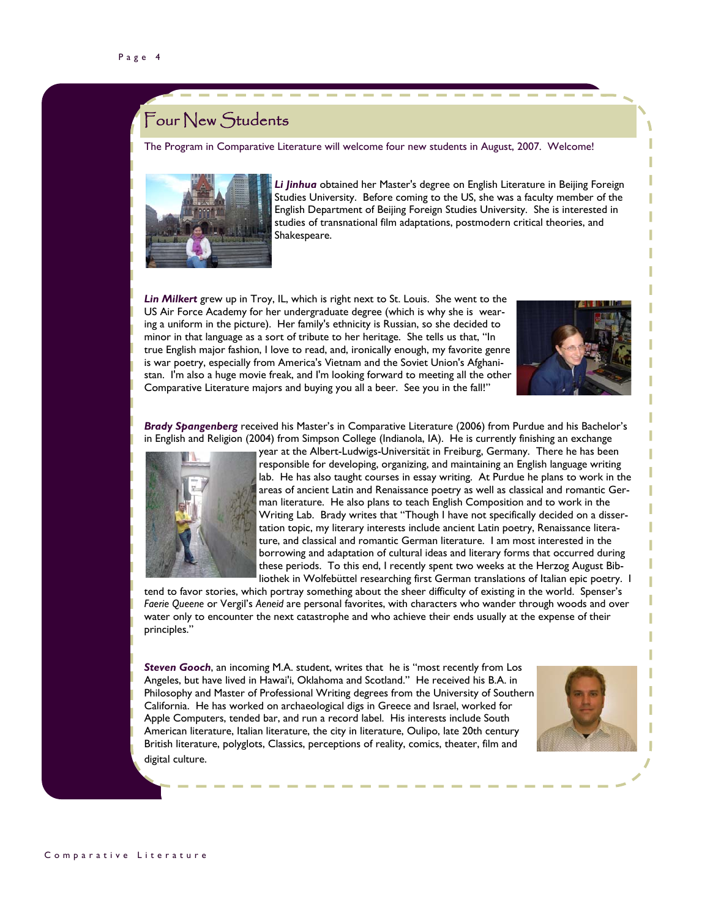## Four New Students

The Program in Comparative Literature will welcome four new students in August, 2007. Welcome!



*Li Jinhua* obtained her Master's degree on English Literature in Beijing Foreign Studies University. Before coming to the US, she was a faculty member of the English Department of Beijing Foreign Studies University. She is interested in studies of transnational film adaptations, postmodern critical theories, and Shakespeare.

*Lin Milkert* grew up in Troy, IL, which is right next to St. Louis. She went to the US Air Force Academy for her undergraduate degree (which is why she is wearing a uniform in the picture). Her family's ethnicity is Russian, so she decided to minor in that language as a sort of tribute to her heritage. She tells us that, "In true English major fashion, I love to read, and, ironically enough, my favorite genre is war poetry, especially from America's Vietnam and the Soviet Union's Afghanistan. I'm also a huge movie freak, and I'm looking forward to meeting all the other Comparative Literature majors and buying you all a beer. See you in the fall!"



*Brady Spangenberg* received his Master's in Comparative Literature (2006) from Purdue and his Bachelor's in English and Religion (2004) from Simpson College (Indianola, IA). He is currently finishing an exchange



year at the Albert-Ludwigs-Universität in Freiburg, Germany. There he has been responsible for developing, organizing, and maintaining an English language writing lab. He has also taught courses in essay writing. At Purdue he plans to work in the areas of ancient Latin and Renaissance poetry as well as classical and romantic German literature. He also plans to teach English Composition and to work in the Writing Lab. Brady writes that "Though I have not specifically decided on a dissertation topic, my literary interests include ancient Latin poetry, Renaissance literature, and classical and romantic German literature. I am most interested in the borrowing and adaptation of cultural ideas and literary forms that occurred during these periods. To this end, I recently spent two weeks at the Herzog August Bibliothek in Wolfebüttel researching first German translations of Italian epic poetry. I

tend to favor stories, which portray something about the sheer difficulty of existing in the world. Spenser's *Faerie Queene* or Vergil's *Aeneid* are personal favorites, with characters who wander through woods and over water only to encounter the next catastrophe and who achieve their ends usually at the expense of their principles."

*Steven Gooch*, an incoming M.A. student, writes that he is "most recently from Los Angeles, but have lived in Hawai'i, Oklahoma and Scotland." He received his B.A. in Philosophy and Master of Professional Writing degrees from the University of Southern California. He has worked on archaeological digs in Greece and Israel, worked for Apple Computers, tended bar, and run a record label. His interests include South American literature, Italian literature, the city in literature, Oulipo, late 20th century British literature, polyglots, Classics, perceptions of reality, comics, theater, film and digital culture.

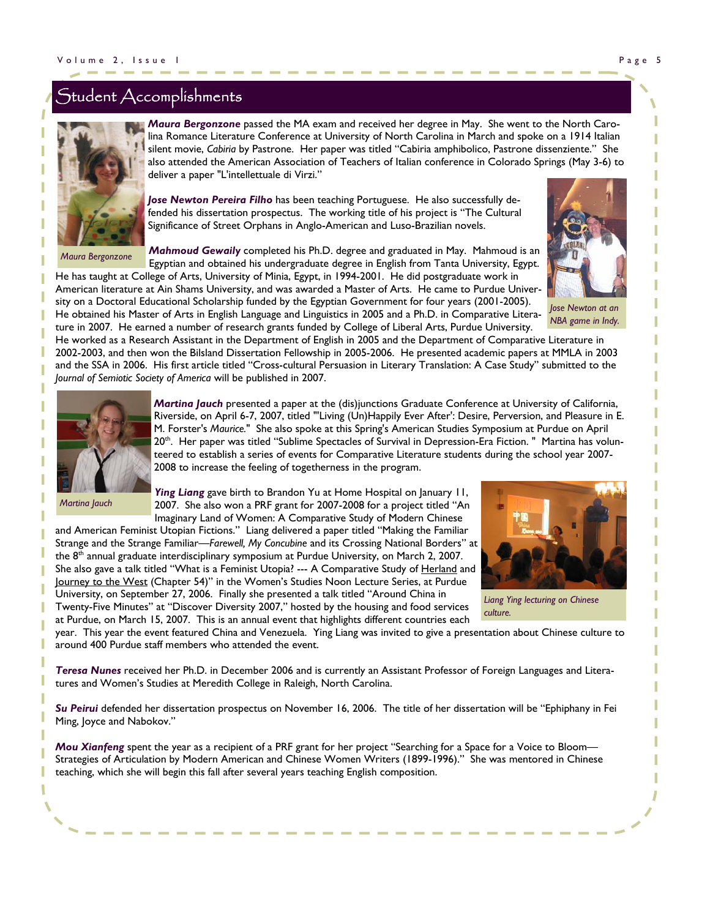## $\tilde{\mathcal{S}}$ tudent  $\mathcal{A}% _{k}(G)$ ccomplishments



*Maura Bergonzone* 

*Maura Bergonzone* passed the MA exam and received her degree in May. She went to the North Carolina Romance Literature Conference at University of North Carolina in March and spoke on a 1914 Italian silent movie, *Cabiria* by Pastrone. Her paper was titled "Cabiria amphibolico, Pastrone dissenziente." She also attended the American Association of Teachers of Italian conference in Colorado Springs (May 3-6) to deliver a paper "L'intellettuale di Virzi."

*Jose Newton Pereira Filho* has been teaching Portuguese. He also successfully defended his dissertation prospectus. The working title of his project is "The Cultural Significance of Street Orphans in Anglo-American and Luso-Brazilian novels.

*Mahmoud Gewaily* completed his Ph.D. degree and graduated in May. Mahmoud is an Egyptian and obtained his undergraduate degree in English from Tanta University, Egypt.

He has taught at College of Arts, University of Minia, Egypt, in 1994-2001. He did postgraduate work in American literature at Ain Shams University, and was awarded a Master of Arts. He came to Purdue University on a Doctoral Educational Scholarship funded by the Egyptian Government for four years (2001-2005).

He obtained his Master of Arts in English Language and Linguistics in 2005 and a Ph.D. in Comparative Literature in 2007. He earned a number of research grants funded by College of Liberal Arts, Purdue University.



*Jose Newton at an NBA game in Indy.* 

He worked as a Research Assistant in the Department of English in 2005 and the Department of Comparative Literature in 2002-2003, and then won the Bilsland Dissertation Fellowship in 2005-2006. He presented academic papers at MMLA in 2003 and the SSA in 2006. His first article titled "Cross-cultural Persuasion in Literary Translation: A Case Study" submitted to the *Journal of Semiotic Society of America* will be published in 2007.



*Martina Jauch* 

Riverside, on April 6-7, 2007, titled "'Living (Un)Happily Ever After': Desire, Perversion, and Pleasure in E. M. Forster's *Maurice.*" She also spoke at this Spring's American Studies Symposium at Purdue on April 20<sup>th</sup>. Her paper was titled "Sublime Spectacles of Survival in Depression-Era Fiction." Martina has volunteered to establish a series of events for Comparative Literature students during the school year 2007- 2008 to increase the feeling of togetherness in the program.

*Martina Jauch* presented a paper at the (dis)junctions Graduate Conference at University of California,

*Ying Liang* gave birth to Brandon Yu at Home Hospital on January 11, 2007. She also won a PRF grant for 2007-2008 for a project titled "An Imaginary Land of Women: A Comparative Study of Modern Chinese

and American Feminist Utopian Fictions." Liang delivered a paper titled "Making the Familiar Strange and the Strange Familiar—*Farewell, My Concubine* and its Crossing National Borders" at the 8<sup>th</sup> annual graduate interdisciplinary symposium at Purdue University, on March 2, 2007. She also gave a talk titled "What is a Feminist Utopia? --- A Comparative Study of Herland and Journey to the West (Chapter 54)" in the Women's Studies Noon Lecture Series, at Purdue University, on September 27, 2006. Finally she presented a talk titled "Around China in Twenty-Five Minutes" at "Discover Diversity 2007," hosted by the housing and food services at Purdue, on March 15, 2007. This is an annual event that highlights different countries each



*Liang Ying lecturing on Chinese culture.* 

year. This year the event featured China and Venezuela. Ying Liang was invited to give a presentation about Chinese culture to around 400 Purdue staff members who attended the event.

*Teresa Nunes* received her Ph.D. in December 2006 and is currently an Assistant Professor of Foreign Languages and Literatures and Women's Studies at Meredith College in Raleigh, North Carolina.

*Su Peirui* defended her dissertation prospectus on November 16, 2006. The title of her dissertation will be "Ephiphany in Fei Ming, Joyce and Nabokov."

*Mou Xianfeng* spent the year as a recipient of a PRF grant for her project "Searching for a Space for a Voice to Bloom— Strategies of Articulation by Modern American and Chinese Women Writers (1899-1996)." She was mentored in Chinese teaching, which she will begin this fall after several years teaching English composition.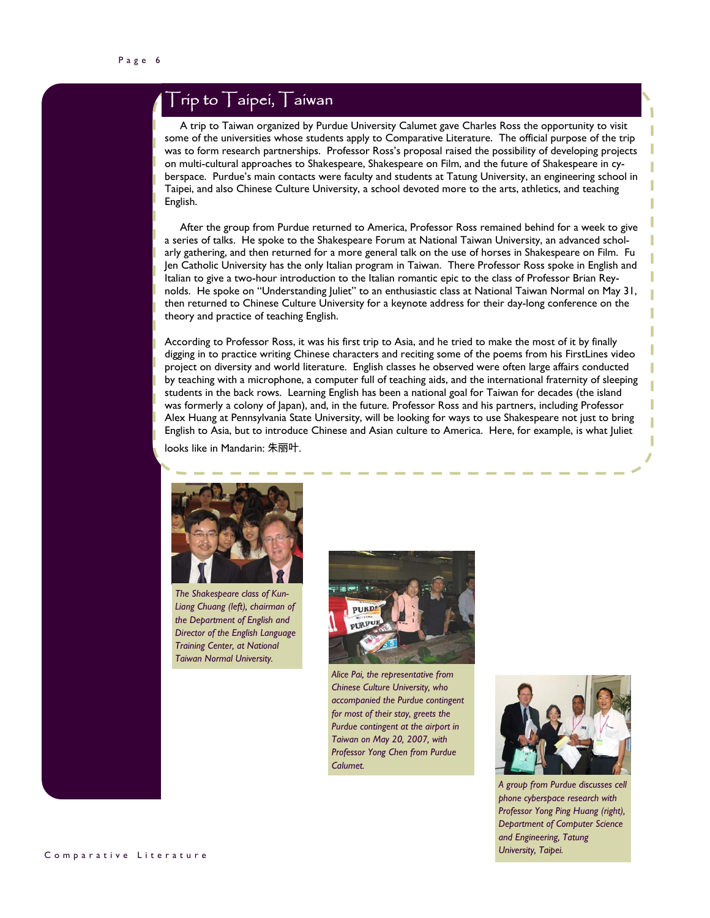## $\overline{\Gamma}$ rip to  $\overline{\Gamma}$ aipei,  $\overline{\Gamma}$ aiwan

 A trip to Taiwan organized by Purdue University Calumet gave Charles Ross the opportunity to visit some of the universities whose students apply to Comparative Literature. The official purpose of the trip was to form research partnerships. Professor Ross's proposal raised the possibility of developing projects on multi-cultural approaches to Shakespeare, Shakespeare on Film, and the future of Shakespeare in cyberspace. Purdue's main contacts were faculty and students at Tatung University, an engineering school in Taipei, and also Chinese Culture University, a school devoted more to the arts, athletics, and teaching English.

 After the group from Purdue returned to America, Professor Ross remained behind for a week to give a series of talks. He spoke to the Shakespeare Forum at National Taiwan University, an advanced scholarly gathering, and then returned for a more general talk on the use of horses in Shakespeare on Film. Fu Jen Catholic University has the only Italian program in Taiwan. There Professor Ross spoke in English and Italian to give a two-hour introduction to the Italian romantic epic to the class of Professor Brian Reynolds. He spoke on "Understanding Juliet" to an enthusiastic class at National Taiwan Normal on May 31, then returned to Chinese Culture University for a keynote address for their day-long conference on the theory and practice of teaching English.

According to Professor Ross, it was his first trip to Asia, and he tried to make the most of it by finally digging in to practice writing Chinese characters and reciting some of the poems from his FirstLines video project on diversity and world literature. English classes he observed were often large affairs conducted by teaching with a microphone, a computer full of teaching aids, and the international fraternity of sleeping students in the back rows. Learning English has been a national goal for Taiwan for decades (the island was formerly a colony of Japan), and, in the future. Professor Ross and his partners, including Professor Alex Huang at Pennsylvania State University, will be looking for ways to use Shakespeare not just to bring English to Asia, but to introduce Chinese and Asian culture to America. Here, for example, is what Juliet

looks like in Mandarin: 朱丽叶.



*The Shakespeare class of Kun-Liang Chuang (left), chairman of the Department of English and Director of the English Language Training Center, at National Taiwan Normal University.* 



*Alice Pai, the representative from Chinese Culture University, who accompanied the Purdue contingent for most of their stay, greets the Purdue contingent at the airport in Taiwan on May 20, 2007, with Professor Yong Chen from Purdue Calumet.* 



*A group from Purdue discusses cell phone cyberspace research with Professor Yong Ping Huang (right), Department of Computer Science and Engineering, Tatung University, Taipei.*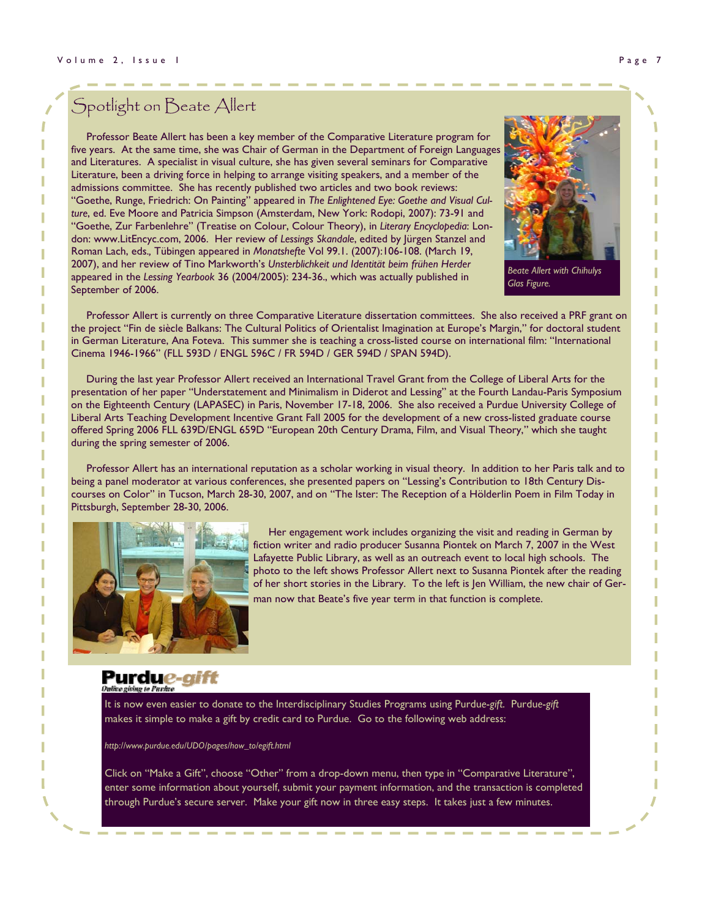## Spotlight on Beate Allert

 Professor Beate Allert has been a key member of the Comparative Literature program for five years. At the same time, she was Chair of German in the Department of Foreign Languages and Literatures. A specialist in visual culture, she has given several seminars for Comparative Literature, been a driving force in helping to arrange visiting speakers, and a member of the admissions committee. She has recently published two articles and two book reviews: "Goethe, Runge, Friedrich: On Painting" appeared in *The Enlightened Eye: Goethe and Visual Culture*, ed. Eve Moore and Patricia Simpson (Amsterdam, New York: Rodopi, 2007): 73-91 and "Goethe, Zur Farbenlehre" (Treatise on Colour, Colour Theory), in *Literary Encyclopedia*: London: www.LitEncyc.com, 2006. Her review of *Lessings Skandale*, edited by Jürgen Stanzel and Roman Lach, eds.*,* Tübingen appeared in *Monatshefte* Vol 99.1. (2007):106-108. (March 19, 2007), and her review of Tino Markworth's *Unsterblichkeit und Identität beim frühen Herder* appeared in the *Lessing Yearbook* 36 (2004/2005): 234-36., which was actually published in September of 2006.



*Beate Allert with Chihulys Glas Figure.* 

 Professor Allert is currently on three Comparative Literature dissertation committees. She also received a PRF grant on the project "Fin de siècle Balkans: The Cultural Politics of Orientalist Imagination at Europe's Margin," for doctoral student in German Literature, Ana Foteva. This summer she is teaching a cross-listed course on international film: "International Cinema 1946-1966" (FLL 593D / ENGL 596C / FR 594D / GER 594D / SPAN 594D).

During the last year Professor Allert received an International Travel Grant from the College of Liberal Arts for the presentation of her paper "Understatement and Minimalism in Diderot and Lessing" at the Fourth Landau-Paris Symposium on the Eighteenth Century (LAPASEC) in Paris, November 17-18, 2006. She also received a Purdue University College of Liberal Arts Teaching Development Incentive Grant Fall 2005 for the development of a new cross-listed graduate course offered Spring 2006 FLL 639D/ENGL 659D "European 20th Century Drama, Film, and Visual Theory," which she taught during the spring semester of 2006.

 Professor Allert has an international reputation as a scholar working in visual theory. In addition to her Paris talk and to being a panel moderator at various conferences, she presented papers on "Lessing's Contribution to 18th Century Discourses on Color" in Tucson, March 28-30, 2007, and on "The Ister: The Reception of a Hölderlin Poem in Film Today in Pittsburgh, September 28-30, 2006.



Her engagement work includes organizing the visit and reading in German by fiction writer and radio producer Susanna Piontek on March 7, 2007 in the West Lafayette Public Library, as well as an outreach event to local high schools. The photo to the left shows Professor Allert next to Susanna Piontek after the reading of her short stories in the Library. To the left is Jen William, the new chair of German now that Beate's five year term in that function is complete.

#### Purdu*e-aift* ive giving to Purkee

It is now even easier to donate to the Interdisciplinary Studies Programs using Purdu*e*-*gift*. Purdu*e*-*gift*  makes it simple to make a gift by credit card to Purdue. Go to the following web address:

*http://www.purdue.edu/UDO/pages/how\_to/egift.html* 

Click on "Make a Gift", choose "Other" from a drop-down menu, then type in "Comparative Literature", enter some information about yourself, submit your payment information, and the transaction is completed through Purdue's secure server. Make your gift now in three easy steps. It takes just a few minutes.